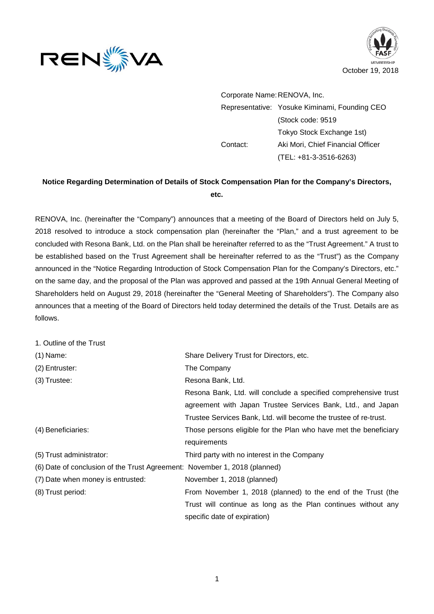



Corporate Name: RENOVA, Inc. Representative: Yosuke Kiminami, Founding CEO (Stock code: 9519 Tokyo Stock Exchange 1st) Contact: Aki Mori, Chief Financial Officer (TEL: +81-3-3516-6263)

## **Notice Regarding Determination of Details of Stock Compensation Plan for the Company's Directors, etc.**

RENOVA, Inc. (hereinafter the "Company") announces that a meeting of the Board of Directors held on July 5, 2018 resolved to introduce a stock compensation plan (hereinafter the "Plan," and a trust agreement to be concluded with Resona Bank, Ltd. on the Plan shall be hereinafter referred to as the "Trust Agreement." A trust to be established based on the Trust Agreement shall be hereinafter referred to as the "Trust") as the Company announced in the "Notice Regarding Introduction of Stock Compensation Plan for the Company's Directors, etc." on the same day, and the proposal of the Plan was approved and passed at the 19th Annual General Meeting of Shareholders held on August 29, 2018 (hereinafter the "General Meeting of Shareholders"). The Company also announces that a meeting of the Board of Directors held today determined the details of the Trust. Details are as follows.

| 1. Outline of the Trust                                                   |                                                                  |
|---------------------------------------------------------------------------|------------------------------------------------------------------|
| $(1)$ Name:                                                               | Share Delivery Trust for Directors, etc.                         |
| (2) Entruster:                                                            | The Company                                                      |
| $(3)$ Trustee:                                                            | Resona Bank, Ltd.                                                |
|                                                                           | Resona Bank, Ltd. will conclude a specified comprehensive trust  |
|                                                                           | agreement with Japan Trustee Services Bank, Ltd., and Japan      |
|                                                                           | Trustee Services Bank, Ltd. will become the trustee of re-trust. |
| (4) Beneficiaries:                                                        | Those persons eligible for the Plan who have met the beneficiary |
|                                                                           | requirements                                                     |
| (5) Trust administrator:                                                  | Third party with no interest in the Company                      |
| (6) Date of conclusion of the Trust Agreement: November 1, 2018 (planned) |                                                                  |
| (7) Date when money is entrusted:                                         | November 1, 2018 (planned)                                       |
| (8) Trust period:                                                         | From November 1, 2018 (planned) to the end of the Trust (the     |
|                                                                           | Trust will continue as long as the Plan continues without any    |
|                                                                           | specific date of expiration)                                     |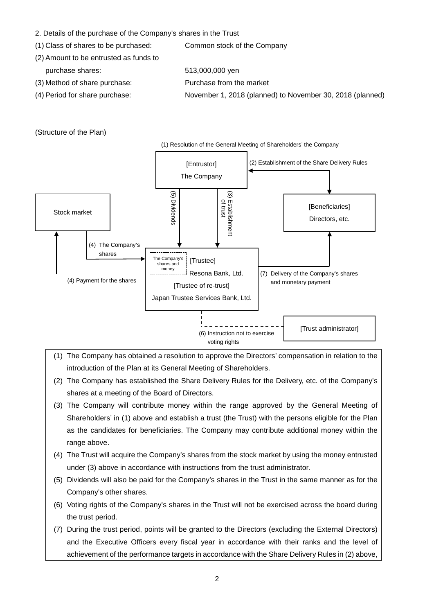- 2. Details of the purchase of the Company's shares in the Trust
- (1) Class of shares to be purchased: Common stock of the Company
- (2) Amount to be entrusted as funds to purchase shares: 513,000,000 yen
	-
- (3) Method of share purchase: Purchase from the market
- 
- 
- (4) Period for share purchase: November 1, 2018 (planned) to November 30, 2018 (planned)

## (Structure of the Plan)



- (1) The Company has obtained a resolution to approve the Directors' compensation in relation to the introduction of the Plan at its General Meeting of Shareholders.
- (2) The Company has established the Share Delivery Rules for the Delivery, etc. of the Company's shares at a meeting of the Board of Directors.
- (3) The Company will contribute money within the range approved by the General Meeting of Shareholders' in (1) above and establish a trust (the Trust) with the persons eligible for the Plan as the candidates for beneficiaries. The Company may contribute additional money within the range above.
- (4) The Trust will acquire the Company's shares from the stock market by using the money entrusted under (3) above in accordance with instructions from the trust administrator.
- (5) Dividends will also be paid for the Company's shares in the Trust in the same manner as for the Company's other shares.
- (6) Voting rights of the Company's shares in the Trust will not be exercised across the board during the trust period.
- (7) During the trust period, points will be granted to the Directors (excluding the External Directors) and the Executive Officers every fiscal year in accordance with their ranks and the level of achievement of the performance targets in accordance with the Share Delivery Rules in (2) above,